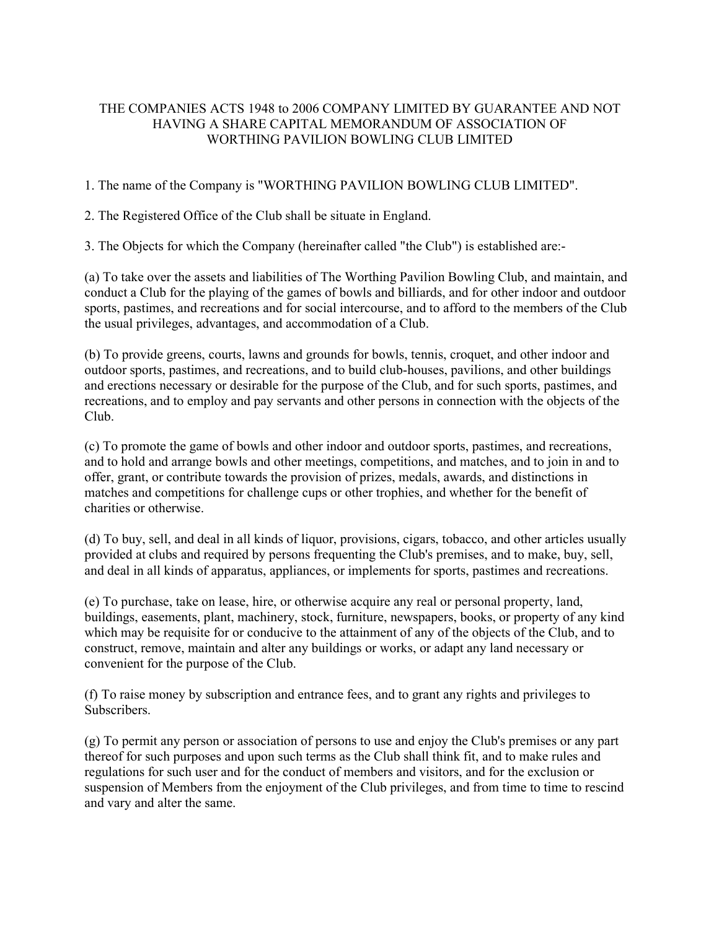# THE COMPANIES ACTS 1948 to 2006 COMPANY LIMITED BY GUARANTEE AND NOT HAVING A SHARE CAPITAL MEMORANDUM OF ASSOCIATION OF WORTHING PAVILION BOWLING CLUB LIMITED

## 1. The name of the Company is "WORTHING PAVILION BOWLING CLUB LIMITED".

2. The Registered Office of the Club shall be situate in England.

3. The Objects for which the Company (hereinafter called "the Club") is established are:-

(a) To take over the assets and liabilities ofThe Worthing Pavilion Bowling Club, and maintain, and conduct a Club for the playing of the games of bowls and billiards, and for other indoor and outdoor sports, pastimes, and recreations and for social intercourse, and to afford to the members of the Club the usual privileges, advantages, and accommodation of a Club.

(b) To provide greens, courts, lawns and grounds for bowls, tennis, croquet, and other indoor and outdoor sports, pastimes, and recreations, and to build club-houses, pavilions, and other buildings and erections necessary or desirable for the purpose of the Club, and for such sports, pastimes, and recreations, and to employ and pay servants and other persons in connection with the objects of the Club.

(c) To promote the game of bowls and other indoor and outdoor sports, pastimes, and recreations, and to hold and arrange bowls and other meetings, competitions, and matches, and to join in and to offer, grant, or contribute towards the provision of prizes, medals, awards, and distinctions in matches and competitions for challenge cups orother trophies, and whether for the benefit of charities or otherwise.

(d) To buy, sell, and deal in all kinds ofliquor, provisions, cigars, tobacco, and other articles usually provided at clubs and required by persons frequenting the Club's premises, and to make, buy, sell, and deal in all kinds of apparatus, appliances, or implements for sports, pastimes and recreations.

(e) To purchase, take on lease, hire, or otherwise acquire any real or personal property, land, buildings, easements, plant, machinery, stock, furniture, newspapers, books, or property of any kind which may be requisite for or conducive to the attainment of any of the objects of the Club, and to construct, remove, maintain and alter any buildings or works, or adapt any land necessary or convenient for the purpose of the Club.

(f) To raise money by subscription and entrance fees, and to grant any rights and privileges to Subscribers.

(g) To permit any person or association of persons to use and enjoy the Club's premises orany part thereof for such purposes and upon such terms as the Club shall think fit, and to make rules and regulations for such user and for the conduct of members and visitors, and for the exclusion or suspension of Members from the enjoyment of the Club privileges, and from time to time to rescind and vary and alter the same.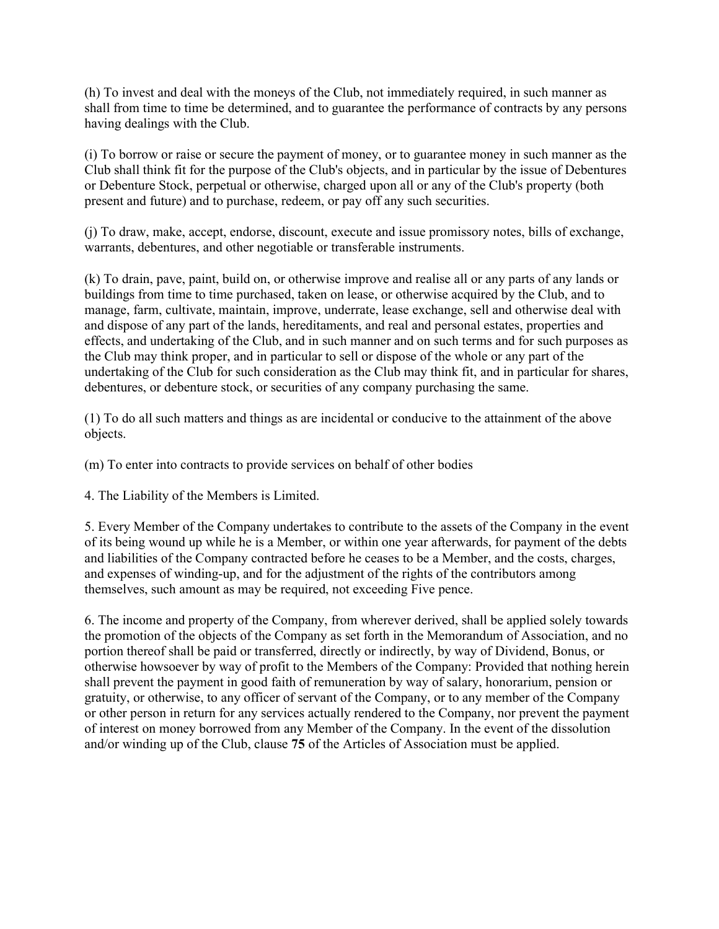(h) To invest and deal with the moneys of the Club, not immediately required, in such manner as shall from time to time be determined, and to guarantee the performance of contracts by any persons having dealings with the Club.

(i) To borrow or raise or secure the payment of money, or to guarantee money in such manner as the Club shall think fit for the purpose of the Club's objects, and in particular by the issue of Debentures or Debenture Stock, perpetual or otherwise, charged upon all or any of the Club's property (both present and future) and to purchase, redeem, or pay off any such securities.

(j) To draw, make, accept, endorse, discount, execute and issue promissory notes, bills ofexchange, warrants, debentures, and other negotiable or transferable instruments.

(k) To drain, pave, paint, build on, or otherwise improve and realise all or any parts of any lands or buildings from time to time purchased, taken on lease, or otherwise acquired by the Club, and to manage, farm, cultivate, maintain, improve, underrate, lease exchange, sell and otherwise deal with and dispose of any part of the lands, hereditaments, and real and personal estates, properties and effects, and undertaking of the Club, and in such manner and on such terms and for such purposes as the Club may think proper, and in particular to sell or dispose of the whole or any part of the undertaking of the Club for such consideration as the Club may think fit, and in particular for shares, debentures, or debenture stock, or securities of any company purchasing the same.

(1) To do all such matters and things as are incidental or conducive to the attainment of the above objects.

(m) To enter into contracts to provide services on behalf of other bodies

4. The Liability of the Members is Limited.

5. Every Member of the Company undertakes to contribute to the assets of the Company in the event of its being wound up while he is a Member, or within one year afterwards, for payment of the debts and liabilities of the Company contracted before he ceases to be a Member, and the costs, charges, and expenses of winding-up, and for the adjustment of the rights of the contributors among themselves, such amount as may be required, not exceeding Five pence.

6. The income and property of the Company, from wherever derived, shall be applied solely towards the promotion of the objects of the Company as set forth in the Memorandum of Association, and no portion thereof shall be paid or transferred, directly or indirectly, by way of Dividend, Bonus, or otherwise howsoever by way of profit to the Members of the Company: Provided that nothing herein shall prevent the payment in good faith of remuneration by way of salary, honorarium, pension or gratuity, or otherwise, to any officer of servant of the Company, or to any member of the Company or other person in return for any services actually rendered to the Company, nor prevent the payment of interest on money borrowed from any Member of the Company. In the event of the dissolution and/or winding up of the Club, clause **75** of the Articles of Association must be applied.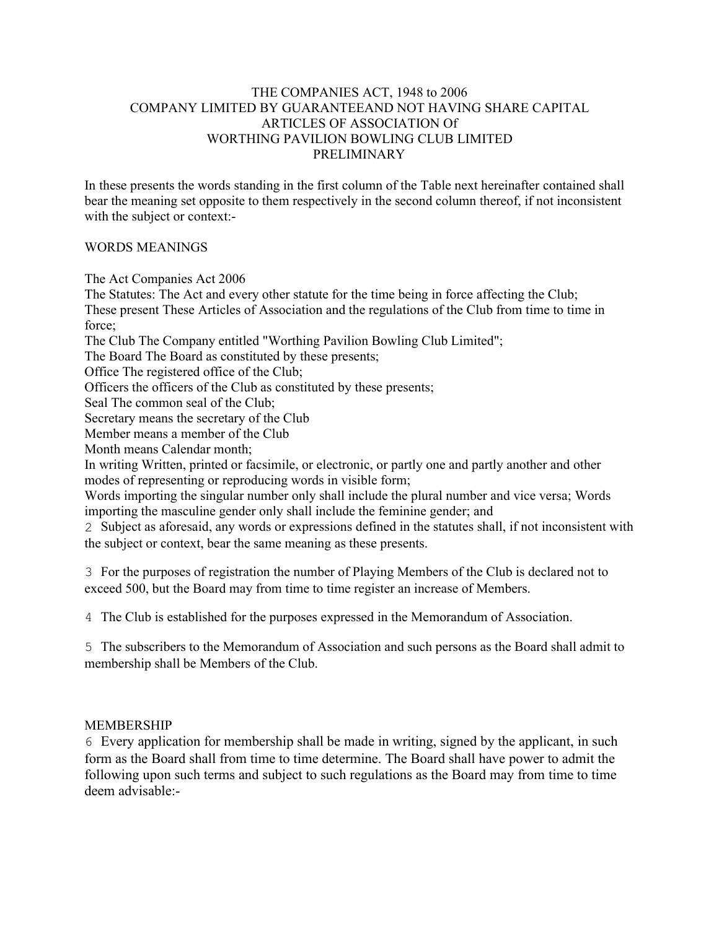## THE COMPANIES ACT, 1948 to 2006 COMPANY LIMITED BY GUARANTEEAND NOT HAVING SHARE CAPITAL ARTICLES OF ASSOCIATION Of WORTHING PAVILION BOWLING CLUB LIMITED PRELIMINARY

In these presents the words standing in the first column of the Table next hereinafter contained shall bear the meaning set opposite to them respectively in the second column thereof, if not inconsistent with the subject or context:-

#### WORDS MEANINGS

The Act Companies Act 2006

The Statutes: The Act and every other statute for the time being in force affecting the Club; These present These Articles of Association and the regulations of the Club from time to time in force;

The Club The Company entitled "Worthing Pavilion Bowling Club Limited";

The Board The Board as constituted by these presents;

Office The registered office of the Club;

Officers the officers of the Club as constituted by these presents;

Seal The common seal of the Club;

Secretary means the secretary of the Club

Member means a member of the Club

Month means Calendar month;

In writing Written, printed or facsimile, or electronic, or partly one and partly another and other modes of representing or reproducing words in visible form;

Words importing the singular number only shall include the plural number and vice versa; Words importing the masculine gender only shall include the feminine gender; and

2 Subject as aforesaid, any words or expressions defined in the statutes shall, if not inconsistent with the subject or context, bear the same meaning as these presents.

3 For the purposes of registration the number of Playing Members of the Club is declared not to exceed 500, but the Board may from time to time register an increase of Members.

4 The Club is established for the purposes expressed in the Memorandum of Association.

5 The subscribers to the Memorandum of Association and such persons as the Board shall admit to membership shall be Members of the Club.

## **MEMBERSHIP**

6 Every application for membership shall be made in writing, signed by the applicant, in such form as the Board shall from time to time determine. The Board shall have power to admit the following upon such terms and subject to such regulations as the Board may from time to time deem advisable:-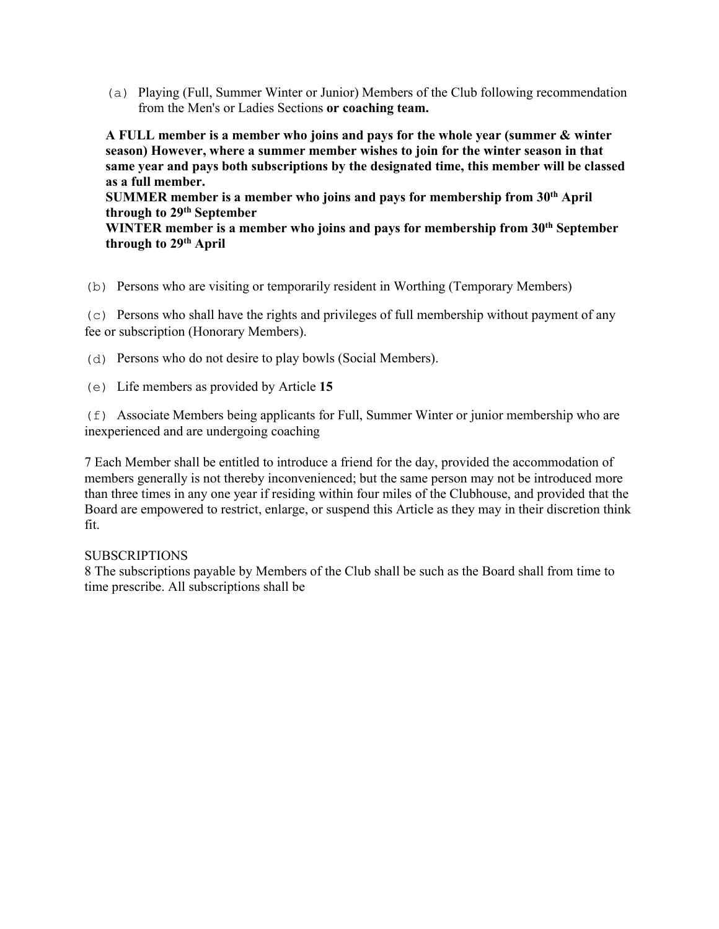(a) Playing (Full, Summer Winter or Junior) Members ofthe Club following recommendation from the Men's or Ladies Sections **or coaching team.**

**A FULL member is a member who joins and pays for the whole year (summer & winter season) However, where a summer member wishes to join for the winter season in that same year and pays both subscriptions by the designated time, this member will be classed as a full member.**

**SUMMER member is a member who joins and pays for membership from 30 th April through to29 th September**

**WINTER member is a member who joins and pays for membership from 30 th September through to29 th April**

(b) Persons who are visiting or temporarily resident in Worthing (Temporary Members)

 $(c)$  Persons who shall have the rights and privileges of full membership without payment of any fee or subscription (Honorary Members).

- (d) Persons who do not desire to play bowls (Social Members).
- (e) Life members as provided by Article **15**

(f) Associate Members being applicants for Full, Summer Winter or junior membership who are inexperienced and are undergoing coaching

7 Each Member shall be entitled to introduce a friend for the day, provided the accommodation of members generally is not thereby inconvenienced; but the same person may not be introduced more than three times in any one year if residing within four miles of the Clubhouse, and provided that the Board are empowered to restrict, enlarge, or suspend this Article as they may in their discretion think fit.

#### SUBSCRIPTIONS

8 The subscriptions payable by Members of the Club shall be such as the Board shall from time to time prescribe. All subscriptions shall be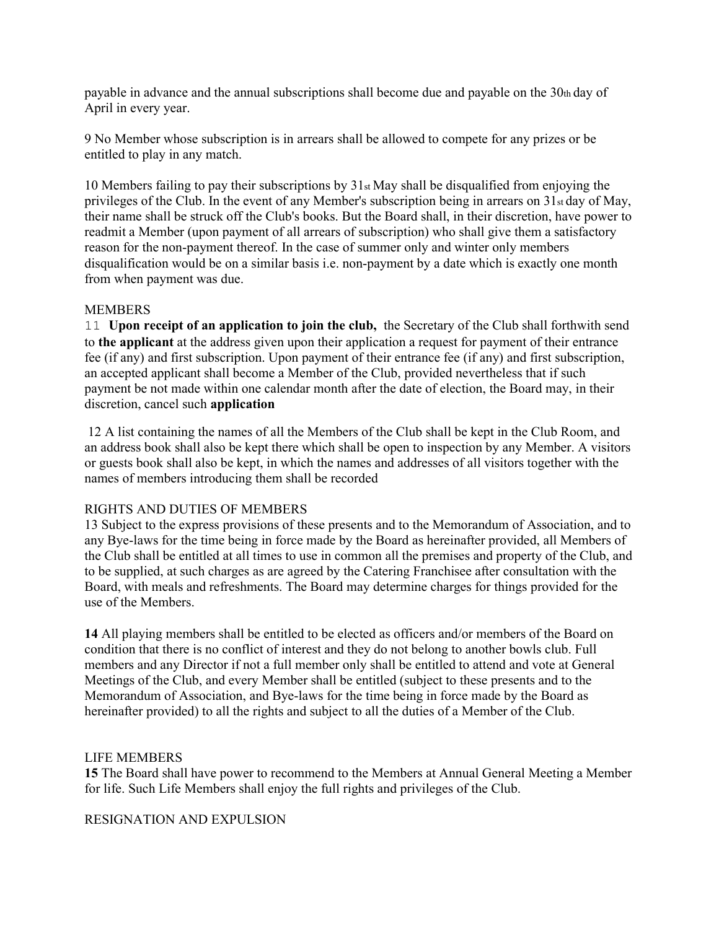payable in advance and the annual subscriptions shall become due and payable on the 30th day of April in every year.<br>9 No Member whose subscription is in arrears shall be allowed to compete for any prizes or be

entitled to play in any match.

10 Members failing to pay their subscriptions by 31st May shall be disqualified from enjoying the privileges of the Club. In the event of any Member's subscription being in arrears on 31st day of May, their name shall be struck off the Club's books. But the Board shall, in their discretion, have power to readmit a Member (upon payment of all arrears of subscription) who shall give them a satisfactory reason for the non-payment thereof. In the case of summer only and winter only members disqualification would be on a similar basis i.e. non-payment by a date which is exactly one month from when payment was due.

#### MEMBERS

11 **Upon receipt ofan application tojoin the club,** the Secretary of the Club shall forthwith send to the applicant at the address given upon their application a request for payment of their entrance fee (if any) and first subscription. Upon payment of their entrance fee (if any) and first subscription, an accepted applicant shall become a Member of the Club, provided nevertheless that if such payment be not made within one calendar month after the date of election, the Board may, in their discretion, cancel such **application**

12 A list containing the names of all the Members of the Club shall be kept in the Club Room, and an address book shall also be kept there which shall be open to inspection by any Member. A visitors or guests book shall also be kept, in which the names and addresses of all visitors together with the names of members introducing them shall be recorded

## RIGHTS AND DUTIES OF MEMBERS

13 Subject to the express provisions ofthese presents and to the Memorandum of Association, and to any Bye-laws for the time being in force made by the Board as hereinafter provided, all Members of the Club shall be entitled at all times to use in common all the premises and property of the Club, and to be supplied, at such charges as are agreed by the Catering Franchisee after consultation with the Board, with meals and refreshments. The Board may determine charges for things provided for the use of the Members.

**14** All playing members shall be entitled to be elected as officers and/or members of the Board on condition that there is no conflict of interest and they do not belong to another bowls club. Full members and any Director if not a full member only shall be entitled to attend and vote at General Meetings of the Club, and every Member shall be entitled (subject to these presents and to the Memorandum of Association, and Bye-laws for the time being in force made by the Board as hereinafter provided) to all the rights and subject to all the duties of a Member of the Club.

## LIFE MEMBERS

**15** The Board shall have power to recommend to the Members at Annual General Meeting a Member for life. Such Life Members shall enjoy the full rights and privileges of the Club.

#### RESIGNATION AND EXPULSION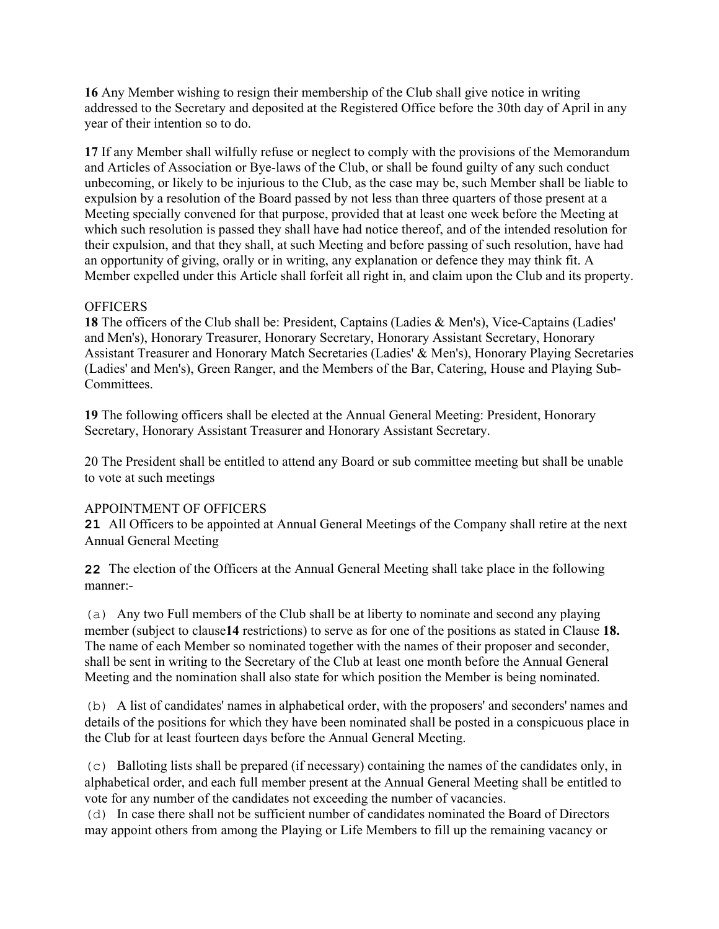**16** Any Member wishing to resign their membership of the Club shall give notice in writing addressed to the Secretary and deposited at the Registered Office before the 30th day of April in any year of their intention so to do.

**17** If any Member shall wilfully refuse or neglect to comply with the provisions of the Memorandum and Articles of Association or Bye-laws of the Club, or shall be found guilty of any such conduct unbecoming, or likely to be injurious to the Club, as the case may be, such Member shall be liable to expulsion by a resolution of the Board passed by not less than three quarters of those present at a Meeting specially convened for that purpose, provided that at least one week before the Meeting at which such resolution is passed they shall have had notice thereof, and of the intended resolution for their expulsion, and that they shall, at such Meeting and before passing of such resolution, have had an opportunity of giving, orally or in writing, any explanation or defence they may think fit. A Member expelled under this Article shall forfeit all right in, and claim upon the Club and its property.

#### **OFFICERS**

18 The officers of the Club shall be: President, Captains (Ladies & Men's), Vice-Captains (Ladies' and Men's), Honorary Treasurer, Honorary Secretary, Honorary Assistant Secretary, Honorary Assistant Treasurer and Honorary Match Secretaries (Ladies' & Men's), Honorary Playing Secretaries (Ladies' and Men's), Green Ranger, and the Members of the Bar, Catering, House and Playing Sub-Committees.

19 The following officers shall be elected at the Annual General Meeting: President, Honorary Secretary, Honorary Assistant Treasurer and Honorary Assistant Secretary.

20 The President shall be entitled to attend any Board or sub committee meeting but shall be unable to vote at such meetings

## APPOINTMENT OF OFFICERS

**21** All Officers to be appointed at Annual General Meetings of the Company shall retire at the next Annual General Meeting

**22** The election of the Officers at the AnnualGeneral Meeting shall take place in the following manner:-

(a) Any two Full members of the Club shall be at liberty to nominate and second any playing member (subject to clause**14** restrictions) to serve as for one of the positions as stated in Clause **18.** The name of each Member so nominated together with the names of their proposer and seconder, shall be sent in writing to the Secretary of the Club at least one month before the Annual General Meeting and the nomination shall also state for which position the Member is being nominated.

(b) A list of candidates' names in alphabetical order, with the proposers' and seconders' names and details of the positions for which they have been nominated shall be posted in a conspicuous place in the Club for at least fourteen days before the Annual General Meeting.

 $(c)$  Balloting lists shall be prepared (if necessary) containing the names of the candidates only, in alphabetical order, and each full member present at the Annual General Meeting shall be entitled to vote for any number of the candidates not exceeding the number of vacancies.

(d) In case there shall not be sufficient number of candidates nominated the Board of Directors may appoint others from among the Playing or Life Members to fill up the remaining vacancy or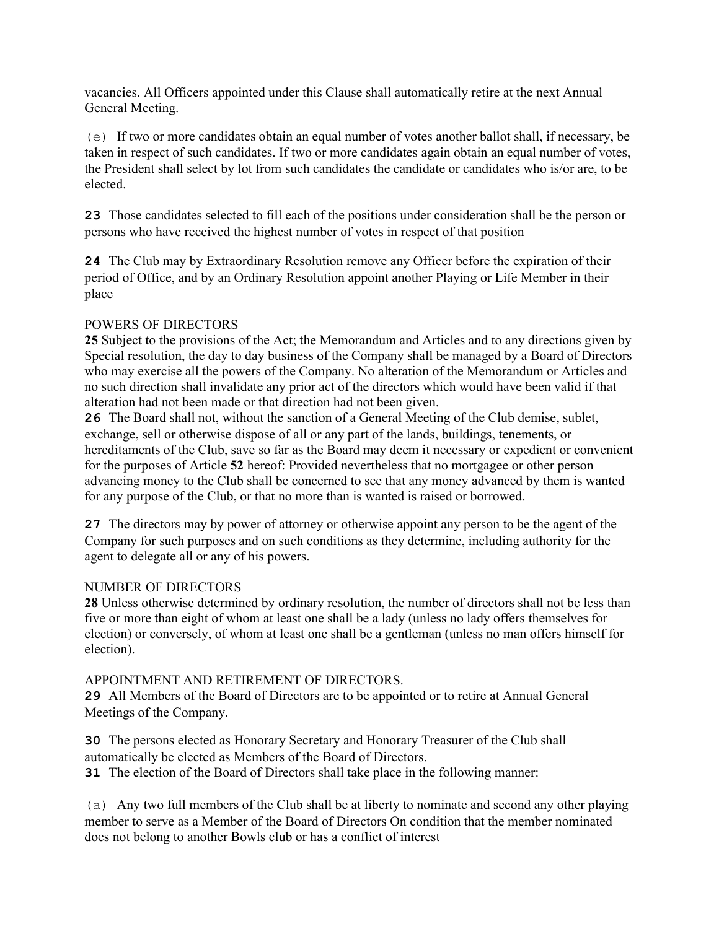vacancies. All Officers appointed under this Clause shall automatically retire at the next Annual General Meeting.

(e) If two or more candidates obtain an equal number of votes another ballot shall, if necessary, be taken in respect of such candidates. If two or more candidates again obtain an equal number of votes, the President shall select by lot from such candidates the candidate or candidates who is/or are, to be elected.

**23** Those candidates selected to fill each of the positions under consideration shall be the person or persons who have received the highest number of votes in respect of that position

24 The Club may by Extraordinary Resolution remove any Officer before the expiration of their period of Office, and by an Ordinary Resolution appoint another Playing or Life Member in their place

# POWERS OF DIRECTORS

**25** Subject to the provisions of the Act; the Memorandum and Articles and to any directions given by Special resolution, the day to day business of the Company shall be managed by a Board of Directors who may exercise all the powers of the Company. No alteration of the Memorandum or Articles and no such direction shall invalidate any prior act of the directors which would have been valid if that alteration had not been made or that direction had not been given.

**26** The Board shall not, without the sanction of a General Meeting of the Club demise, sublet, exchange, sell or otherwise dispose of all or any part of the lands, buildings, tenements, or hereditaments of the Club, save so far as the Board may deem it necessary or expedient or convenient for the purposes of Article 52 hereof: Provided nevertheless that no mortgagee or other person advancing money to the Club shall be concerned to see that any money advanced by them is wanted for any purpose of the Club, or that no more than is wanted is raised or borrowed.

**27** The directors may by power of attorney or otherwise appoint any person to be the agent of the Company for such purposes and on such conditions as they determine, including authority for the agent to delegate all or any of his powers.

## NUMBER OF DIRECTORS

**28** Unless otherwise determined by ordinary resolution, the number of directors shall not be less than five or more than eight of whom at least one shall be a lady (unless no lady offers themselves for election) or conversely, of whom at least one shall be a gentleman (unless no man offers himself for election).

# APPOINTMENT AND RETIREMENT OF DIRECTORS.

29 All Members of the Board of Directors are to be appointed or to retire at Annual General Meetings of the Company.

**30** The persons elected as Honorary Secretary and Honorary Treasurer of the Club shall automatically be elected as Members of the Board of Directors. **31** The election of the Board of Directors shall take place in the following manner:

(a) Any two full members of the Club shall be at liberty to nominate and second any other playing member to serve as a Member of the Board of Directors On condition that the member nominated does not belong to another Bowls club or has a conflict of interest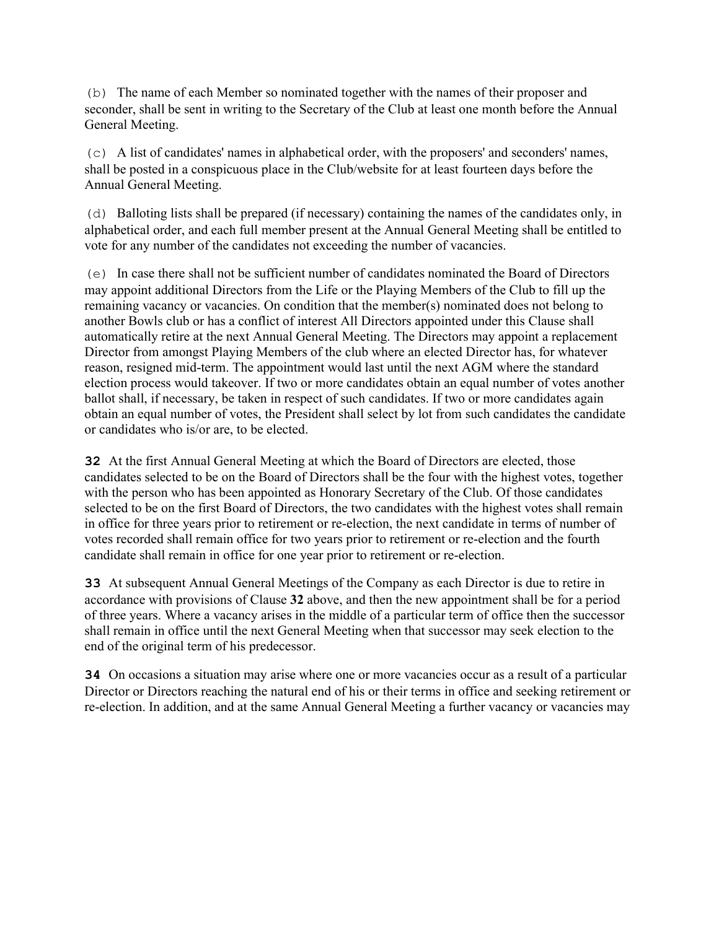(b) The name of each Member so nominated together with the names of their proposer and seconder, shall be sent in writing to the Secretary of the Club at least one month before the Annual General Meeting.

(c) A list of candidates' names in alphabetical order, with the proposers' and seconders' names, shall be posted in a conspicuous place in the Club/website for at least fourteen daysbefore the Annual General Meeting.

 $(d)$  Balloting lists shall be prepared (if necessary) containing the names of the candidates only, in alphabetical order, and each full member present at the Annual General Meeting shall be entitled to vote for any number of the candidates not exceeding the number of vacancies.

(e) In case there shall not be sufficient number of candidates nominated the Board of Directors may appoint additional Directors from the Life or the Playing Members of the Club to fill up the remaining vacancy or vacancies. On condition that the member(s) nominated does not belong to another Bowls club or has a conflict of interest All Directors appointed under this Clause shall automatically retire at the next Annual General Meeting. The Directors may appoint a replacement Director from amongst Playing Members of the club where an elected Director has, for whatever reason, resigned mid-term. The appointment would last until the next AGM where the standard election process would takeover. If two or more candidates obtain an equal number of votes another ballot shall, if necessary, be taken in respect of such candidates. If two or more candidates again obtain an equal number of votes, the President shall select by lot from such candidates the candidate or candidates who is/or are, to be elected.

**32** At the first Annual General Meeting at which the Board of Directors are elected, those candidates selected to be on the Board of Directors shall be the four with the highest votes, together with the person who has been appointed as Honorary Secretary of the Club. Of those candidates selected to be on the first Board of Directors, the two candidates with the highest votes shall remain in office for three years prior to retirement or re-election, the next candidate in terms of number of votes recorded shall remain office for two years prior to retirement or re-election and the fourth candidate shall remain in office for one year prior to retirement or re-election.

**33** At subsequent Annual General Meetings of the Company as each Director is due to retire in accordance with provisions ofClause **32** above, and then the new appointment shall be for a period of three years. Where a vacancy arises in the middle of a particular term of office then the successor shall remain in office until the next General Meeting when that successor may seek election to the end of the original term of his predecessor.

**34** On occasions a situation may arise where one or more vacancies occur as a result of a particular Director or Directors reaching the natural end of his or their terms in office and seeking retirement or re-election. In addition, and at the same Annual General Meeting a further vacancy or vacancies may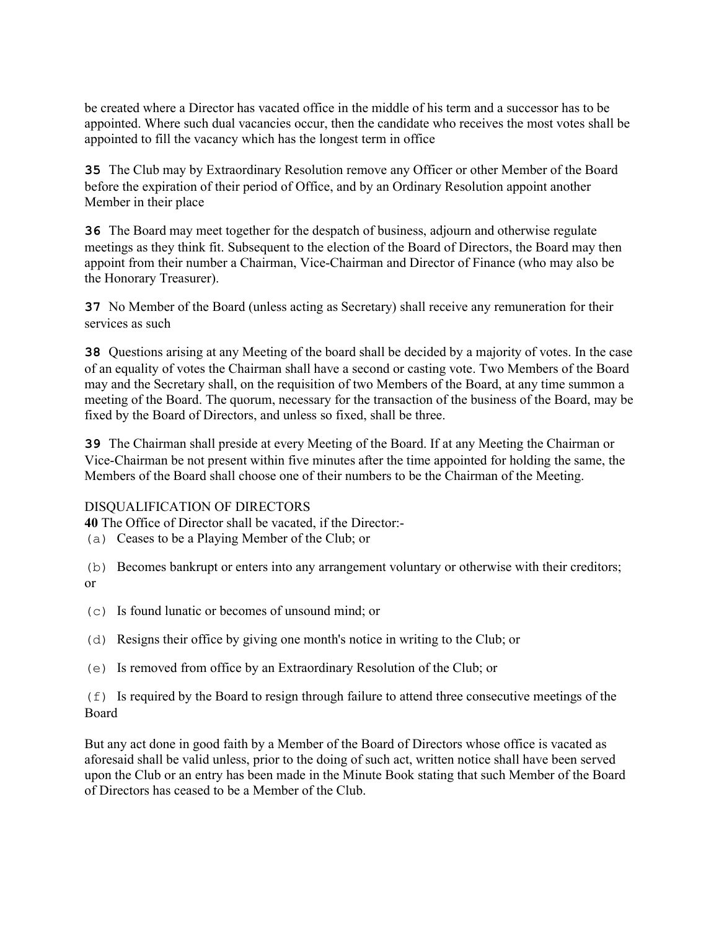be created where a Director has vacated office in the middle of his term and a successor has to be appointed. Where such dual vacancies occur, then the candidate who receives the most votes shall be appointed to fill the vacancy which has the longest term in office

**35** The Club may by Extraordinary Resolution remove any Officer or other Member of the Board before the expiration of their period of Office, and by an Ordinary Resolution appoint another Member in their place

**36** The Board may meet together for the despatch of business, adjourn and otherwise regulate meetings as they think fit. Subsequent to the election of the Board of Directors, the Board may then appoint from their number a Chairman, Vice-Chairman and Director of Finance (who may also be the Honorary Treasurer).

**37** No Member of the Board (unless acting as Secretary) shall receive any remuneration for their services as such

**38** Questions arising at any Meeting of the board shall be decided by a majority of votes. In the case of an equality of votes the Chairman shall have a second or casting vote. Two Members ofthe Board may and the Secretary shall, on the requisition of two Members of the Board, at any time summon a meeting of the Board. The quorum, necessary for the transaction of the business of the Board, may be fixed by the Board of Directors, and unless so fixed, shall be three.

**39** The Chairman shall preside at every Meeting of the Board. If at any Meeting the Chairman or Vice-Chairman be not present within five minutes after the time appointed for holding the same, the Members of the Board shall choose one of their numbers to be the Chairman of the Meeting.

## DISQUALIFICATION OF DIRECTORS

**40** The Office of Director shall be vacated, if the Director:-

(a) Ceases to be a Playing Member of the Club; or

(b) Becomes bankrupt or enters into any arrangement voluntary or otherwise with their creditors; or

- (c) Is found lunatic or becomes of unsound mind; or
- (d) Resigns their office by giving one month's notice in writing to the Club; or
- (e) Is removed from office by an Extraordinary Resolution of the Club; or

 $(f)$  Is required by the Board to resign through failure to attend three consecutive meetings of the Board

But any act done in good faith by a Member of the Board of Directors whose office is vacated as aforesaid shall be valid unless, prior to the doing of such act, written notice shall have been served upon the Club or an entry has been made in the Minute Book stating that such Member of the Board of Directors has ceased to be a Member of the Club.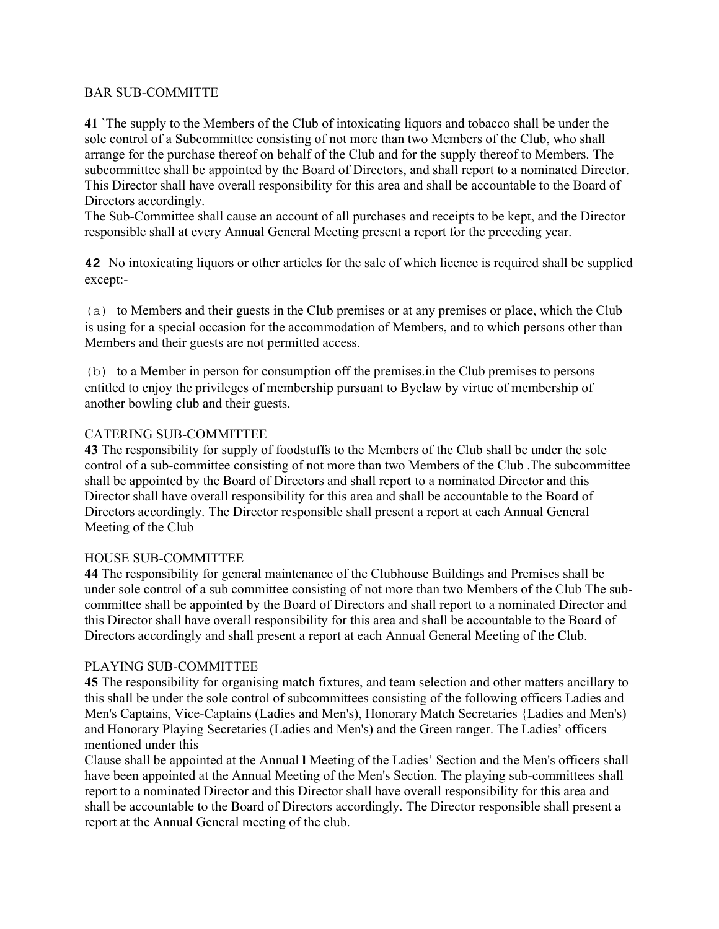#### BAR SUB-COMMITTE

**41** `The supply to the Members ofthe Club of intoxicating liquors and tobacco shall be under the sole control of a Subcommittee consisting of not more than two Members of the Club, who shall arrange for the purchase thereof on behalf of the Club and for the supply thereof to Members. The subcommittee shall be appointed by the Board of Directors, and shall report to a nominated Director. This Director shall have overall responsibility for this area and shall be accountable to the Board of Directors accordingly.

The Sub-Committee shall cause an account of all purchases and receipts to be kept, and the Director responsible shall at every Annual General Meeting present a report for the preceding year.

**42** No intoxicating liquors or other articles for the sale of which licence is required shall be supplied except:-

(a) to Members and their guests in the Club premises or at any premises or place, which the Club is using for a special occasion for the accommodation of Members, and to which persons other than Members and their guests are not permitted access.

(b) to a Member in person for consumption off the premises.in the Club premises to persons entitled to enjoy the privileges of membership pursuant to Byelaw by virtue of membership of another bowling club and their guests.

#### CATERING SUB-COMMITTEE

**43** The responsibility for supply of foodstuffs to the Members of the Club shall be under the sole control of a sub-committee consisting of not more than two Members of the Club .The subcommittee shall be appointed by the Board of Directors and shall report to a nominated Director and this Director shall have overall responsibility for this area and shall be accountable to the Board of Directors accordingly. The Director responsible shall present a report at each Annual General Meeting of the Club

#### HOUSE SUB-COMMITTEE

44 The responsibility for general maintenance of the Clubhouse Buildings and Premises shall be under sole control of a sub committee consisting of not more than two Members of the Club The subcommittee shall be appointed by the Board of Directors and shall report to a nominated Director and this Director shall have overall responsibility for this area and shall be accountable to the Board of Directors accordingly and shall present a report at each Annual General Meeting of the Club.

#### PLAYING SUB-COMMITTEE

**45** The responsibility for organising match fixtures, and team selection and other matters ancillary to this shall be under the sole control of subcommittees consisting of the following officers Ladies and Men's Captains, Vice-Captains (Ladies and Men's), Honorary Match Secretaries {Ladies and Men's) and Honorary Playing Secretaries (Ladies and Men's) and the Green ranger. The Ladies' officers mentioned under this

Clause shall be appointed at the Annual**l** Meeting of the Ladies' Section and the Men's officers shall have been appointed at the Annual Meeting of the Men's Section. The playing sub-committees shall report to a nominated Director and this Director shall have overall responsibility for this area and shall be accountable to the Board of Directors accordingly. The Director responsible shall present a report at the Annual General meeting of the club.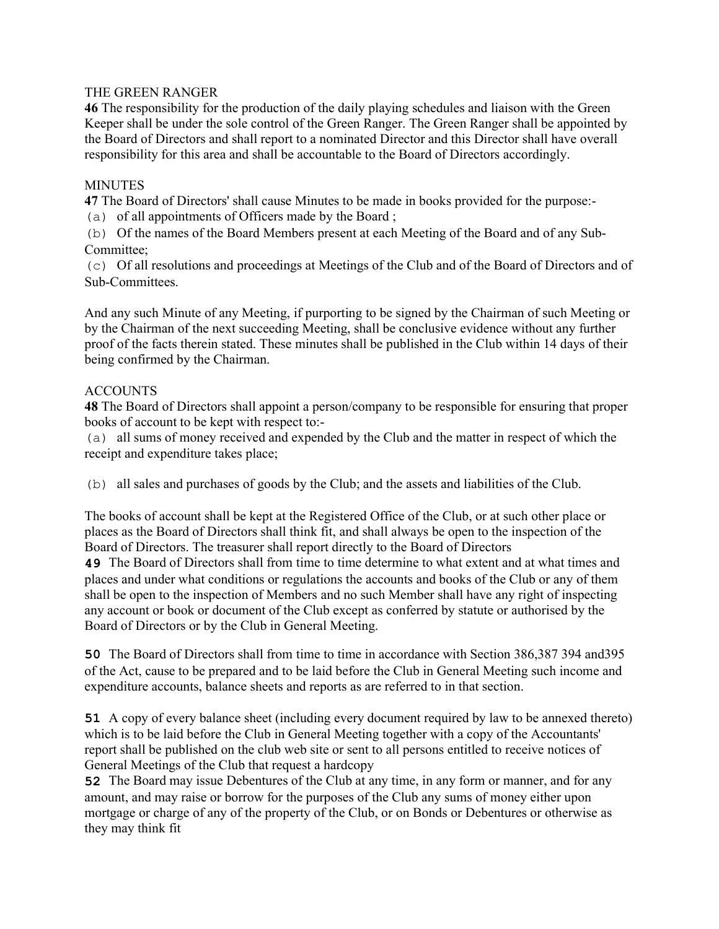## THE GREEN RANGER

**46** The responsibility for the production of the daily playing schedules and liaison with the Green Keeper shall be under the sole control of the Green Ranger. The Green Ranger shall be appointed by the Board of Directors and shall report to a nominated Director and this Director shall have overall responsibility for this area and shall be accountable to the Board of Directors accordingly.

# **MINUTES**

**47** The Board of Directors' shall cause Minutes to be made in books provided for the purpose:-

(a) of all appointments of Officers made by the Board ;

(b) Of the names of the Board Members present at each Meeting of the Board and of any Sub-Committee;

 $(c)$  Of all resolutions and proceedings at Meetings of the Club and of the Board of Directors and of Sub-Committees.

And any such Minute of any Meeting, if purporting to be signed by the Chairman of such Meeting or by the Chairman of the next succeeding Meeting, shall be conclusive evidence without any further proof of the facts therein stated. These minutes shall be published in the Club within 14 days of their being confirmed by the Chairman.

# **ACCOUNTS**

**48** The Board of Directors shall appoint a person/company to be responsible for ensuring that proper books of account to be kept with respect to:-

(a) all sums of money received and expended by the Club and the matter in respect of which the receipt and expenditure takes place;

(b) all sales and purchases of goods by the Club; and the assets and liabilities of the Club.

The books of account shall be kept at the Registered Office of the Club, or at such other place or places as the Board of Directors shall think fit, and shall always be open to the inspection of the Board of Directors. The treasurer shall report directly to the Board of Directors

**49** The Board of Directors shall from time to time determine to what extent and at what times and places and under what conditions or regulations the accounts and books of the Club or any of them shall be open to the inspection of Members and no such Member shall have any right of inspecting any account or book or document of the Club except as conferred by statute or authorised by the Board of Directors or by the Club in General Meeting.

**50** The Board of Directors shall from time to time in accordance with Section 386,387 394 and 395 of the Act, cause to be prepared and to be laid before the Club in General Meeting such income and expenditure accounts, balance sheets and reports as are referred to in that section.

**51** A copy of every balance sheet (including every document required by law to be annexed thereto) which is to be laid before the Club in General Meeting together with a copy of the Accountants' report shall be published on the club web site or sent to all persons entitled to receive notices of General Meetings of the Club that request a hardcopy

**52** The Board may issue Debentures of the Club at any time, in any form or manner, and for any amount, and may raise or borrow for the purposes of the Club any sums of money either upon mortgage or charge of any of the property of the Club, or on Bonds or Debentures or otherwise as they may think fit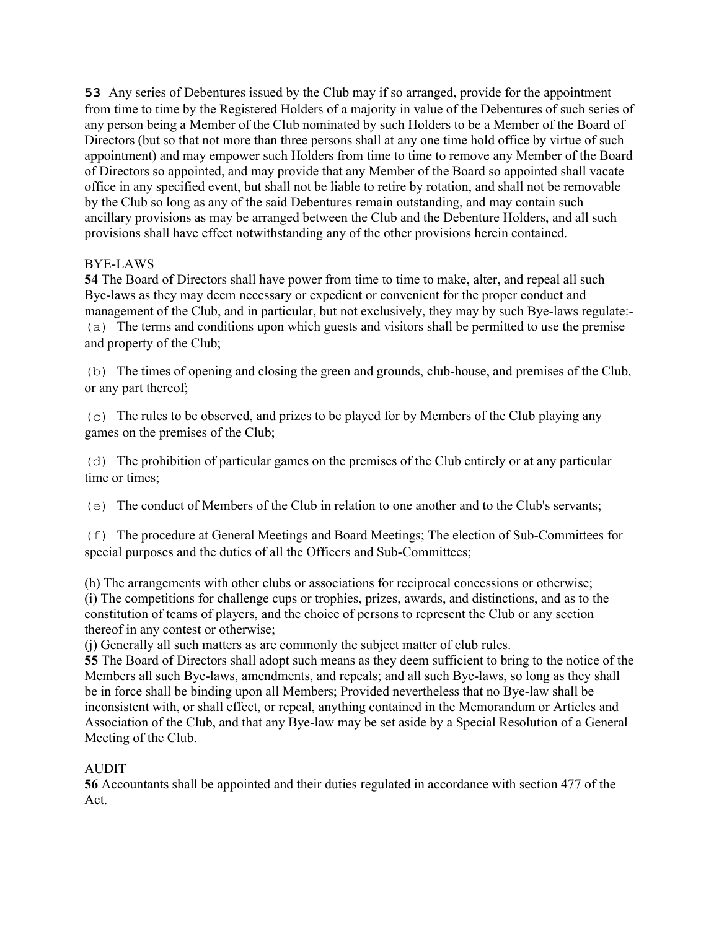**53** Any series of Debentures issued by the Club may if so arranged, provide for the appointment from time to time by the Registered Holders of a majority in value of the Debentures of such series of any person being a Member of the Club nominated by such Holders to be a Member of the Board of Directors (but so that not more than three persons shall at any one time hold office by virtue of such appointment) and may empower such Holders from time to time to remove any Member of the Board of Directors so appointed, and may provide that any Member of the Board so appointed shall vacate office in any specified event, but shall not be liable to retire by rotation, and shall not be removable by the Club so long as any of the said Debentures remain outstanding, and may contain such ancillary provisions as may be arranged between the Club and the Debenture Holders, and all such provisions shall have effect notwithstanding any of the other provisions herein contained.

# BYE-LAWS

**54** The Board of Directors shall have power from time to time to make, alter, and repeal all such Bye-laws as they may deem necessary or expedient or convenient for the proper conduct and management of the Club, and in particular, but not exclusively, they may by such Bye-laws regulate:-  $(a)$  The terms and conditions upon which guests and visitors shall be permitted to use the premise and property of the Club;

(b) The times of opening and closing the green and grounds, club-house, and premises of the Club, or any part thereof;

(c) The rules to be observed, and prizes to be played for by Members of the Club playing any games on the premises of the Club;

 $(d)$  The prohibition of particular games on the premises of the Club entirely or at any particular time or times;

 $(e)$  The conduct of Members of the Club in relation to one another and to the Club's servants;

(f) The procedure at General Meetings and Board Meetings;The election of Sub-Committees for special purposes and the duties of all the Officers and Sub-Committees;

(h) The arrangements with other clubs orassociations for reciprocal concessions orotherwise; (i) The competitions for challenge cups ortrophies, prizes, awards, and distinctions, and as to the constitution of teams of players, and the choice of persons to represent the Club or any section thereof in any contest or otherwise;

(j) Generally all such matters as are commonly the subject matter of club rules.

**55** The Board of Directors shall adopt such means as they deem sufficient to bring to the notice of the Members all such Bye-laws, amendments, and repeals; and all such Bye-laws, so long as they shall be in force shall be binding upon all Members; Provided nevertheless that no Bye-law shall be inconsistent with, or shall effect, or repeal, anything contained in the Memorandum or Articles and Association of the Club, and that any Bye-law may be set aside by a Special Resolution of a General Meeting of the Club.

# **AUDIT**

**56** Accountants shall be appointed and their duties regulated in accordance with section 477 of the Act.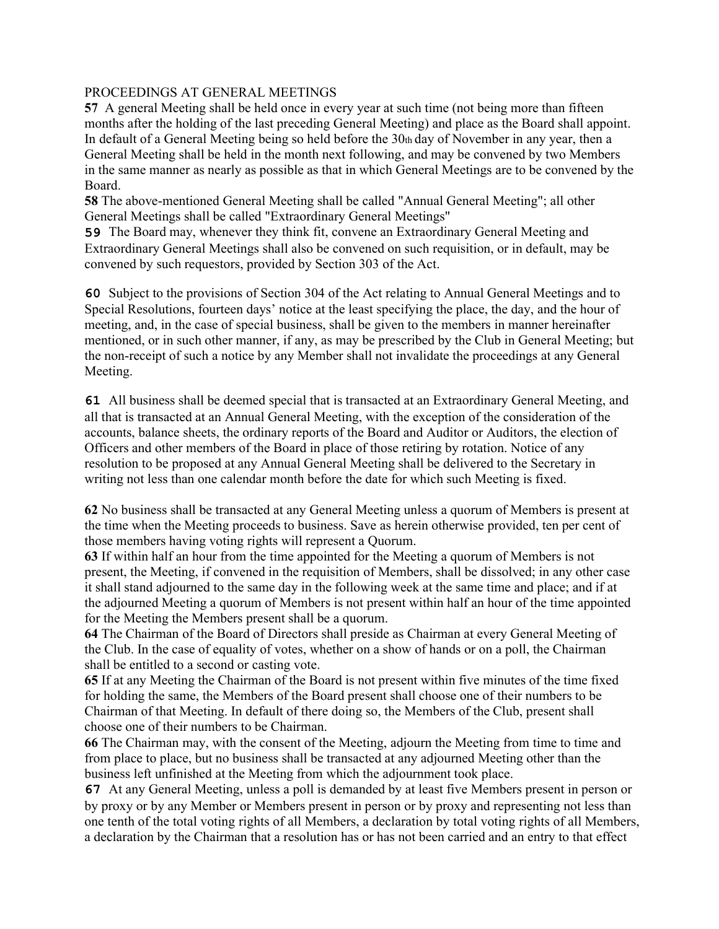### PROCEEDINGS AT GENERAL MEETINGS

**57** A general Meeting shall be held once in every year at such time (not being more than fifteen months after the holding of the last preceding General Meeting) and place as the Board shall appoint. In default of a General Meeting being so held before the 30th day of November in any year, then a General Meeting shall be held in the month next following, and may be convened by two Members in the same manner as nearly as possible asthat in which General Meetings are to be convened by the Board.

**58** The above-mentioned General Meeting shall be called "Annual General Meeting"; all other General Meetings shall be called "Extraordinary General Meetings"

**59** The Board may, whenever they think fit, convene an Extraordinary General Meeting and Extraordinary General Meetings shall also be convened on such requisition, or in default, may be convened by such requestors, provided by Section 303 of the Act.

**60** Subject to the provisions of Section 304 of the Act relating to Annual General Meetings and to Special Resolutions, fourteen days' notice at the least specifying the place, the day, and the hourof meeting, and, in the case of special business, shall be given to the members in manner hereinafter mentioned, or in such other manner, if any, as may be prescribed by the Club in General Meeting; but the non-receipt of such a notice by any Member shall not invalidate the proceedings at any General Meeting.

**61** All business shall be deemed special that is transacted at an Extraordinary General Meeting, and all that is transacted at an Annual General Meeting, with the exception of the consideration of the accounts, balance sheets, the ordinary reports of the Board and Auditor or Auditors, the election of Officers and other members of the Board in place of those retiring by rotation. Notice of any resolution to be proposed at any Annual General Meeting shall be delivered to the Secretary in writing not less than one calendar month before the date for which such Meeting is fixed.

**62** No business shall be transacted at any General Meeting unless a quorum of Members is present at the time when the Meeting proceeds to business. Save as herein otherwise provided, ten per cent of those members having voting rights will represent a Quorum.

**63** If within half an hour from the time appointed for the Meeting a quorum of Members is not present, the Meeting, if convened in the requisition of Members, shall be dissolved; in any other case it shall stand adjourned to the same day in the following week at the same time and place; and if at the adjourned Meeting a quorum of Members is not present within half an hour of the time appointed for the Meeting the Members present shall be a quorum.

64 The Chairman of the Board of Directors shall preside as Chairman at every General Meeting of the Club. In the case of equality of votes, whether on a show of hands or on a poll, the Chairman shall be entitled to a second or casting vote.

**65** If at any Meeting the Chairman of the Board is not present within five minutes of the time fixed for holding the same, the Members of the Board present shall choose one of their numbers to be Chairman of that Meeting. In default of there doing so, the Members of the Club, present shall choose one of their numbers to be Chairman.

**66** The Chairman may, with the consent of the Meeting, adjourn the Meeting from time to time and from place to place, but no business shall be transacted at any adjourned Meeting other than the business left unfinished at the Meeting from which the adjournment took place.

**67** At any General Meeting, unless a poll is demanded by at least five Members present in person or by proxy or by any Member or Members present in person or by proxy and representing not less than one tenth of the total voting rights ofall Members, a declaration by total voting rights of all Members, a declaration by the Chairman that a resolution has or has not been carried and an entry to that effect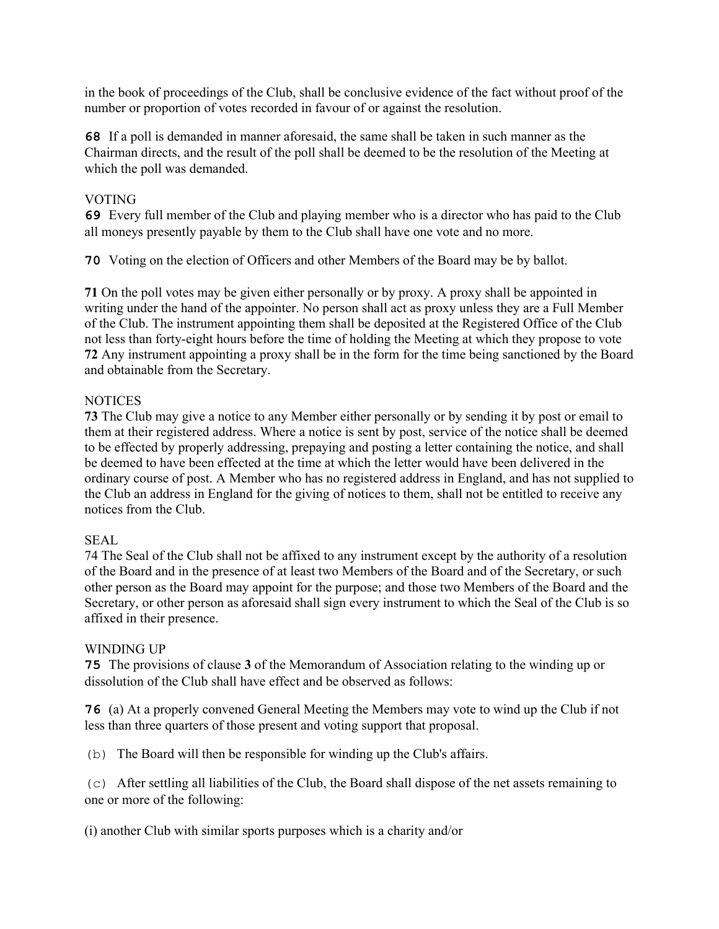in the book of proceedings of the Club, shall be conclusive evidence of the fact without proof of the number or proportion of votes recorded in favour of or against the resolution.

**68** If a poll is demanded in manner aforesaid, the same shall be taken in such manner as the Chairman directs, and the result of the poll shall be deemed to be the resolution of the Meeting at which the poll was demanded.

# VOTING

**69** Every full member of the Club and playing member who is a director who has paid to the Club all moneys presently payable by them to the Club shall have one vote and no more.

**70** Voting on the election of Officers and other Members of the Board may be by ballot.

**71** On the poll votes may be given either personally or by proxy. A proxy shall be appointed in writing under the hand of the appointer. No person shall act as proxy unless they are a Full Member of the Club. The instrument appointing them shall be deposited at the Registered Office of the Club not less than forty-eight hours before the time of holding the Meeting at which they propose to vote **72** Any instrument appointing a proxy shall be in the form for the time being sanctioned by the Board and obtainable from the Secretary.

# **NOTICES**

**73** The Club may give a notice to any Member either personally or by sending it by post or email to them at their registered address. Where a notice is sent by post, service of the notice shall be deemed to be effected by properly addressing, prepaying and posting a letter containing the notice, and shall be deemed to have been effected at the time at which the letter would have been delivered in the ordinary course of post. A Member who has no registered address in England, and has not supplied to the Club an address in England for the giving of notices to them, shall not be entitled to receive any notices from the Club.

# SEAL

74 The Seal of the Club shall not be affixed to any instrument except by the authority of a resolution of the Board and in the presence of at least two Members of the Board and of the Secretary, or such other person as the Board may appoint for the purpose; and those two Members of the Board and the Secretary, or other person as aforesaid shall sign every instrument to which the Seal of the Club is so affixed in their presence.

## WINDING UP

**75** The provisions of clause **3** of the Memorandum of Association relating to the winding up or dissolution of the Club shall have effect and be observed as follows:

**76** (a) At a properly convened General Meeting the Members may vote to wind up the Club if not less than three quarters of those present and voting support that proposal.

(b) The Board will then be responsible for winding up the Club's affairs.

 $(c)$  After settling all liabilities of the Club, the Board shall dispose of the net assets remaining to one or more of the following:

(i) another Club with similar sports purposes which is a charity and/or